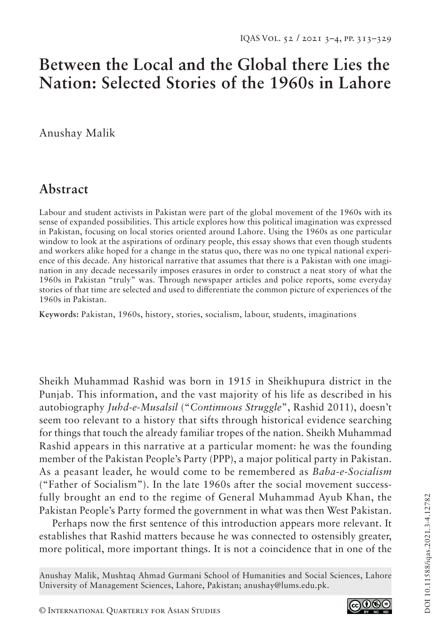# **Between the Local and the Global there Lies the Nation: Selected Stories of the 1960s in Lahore**

Anushay Malik

## **Abstract**

Labour and student activists in Pakistan were part of the global movement of the 1960s with its sense of expanded possibilities. This article explores how this political imagination was expressed in Pakistan, focusing on local stories oriented around Lahore. Using the 1960s as one particular window to look at the aspirations of ordinary people, this essay shows that even though students and workers alike hoped for a change in the status quo, there was no one typical national experience of this decade. Any historical narrative that assumes that there is a Pakistan with one imagination in any decade necessarily imposes erasures in order to construct a neat story of what the 1960s in Pakistan "truly" was. Through newspaper articles and police reports, some everyday stories of that time are selected and used to differentiate the common picture of experiences of the 1960s in Pakistan.

**Keywords:** Pakistan, 1960s, history, stories, socialism, labour, students, imaginations

Sheikh Muhammad Rashid was born in 1915 in Sheikhupura district in the Punjab. This information, and the vast majority of his life as described in his autobiography *Juhd-e-Musalsil* ("*Continuous Struggle*", Rashid 2011), doesn't seem too relevant to a history that sifts through historical evidence searching for things that touch the already familiar tropes of the nation. Sheikh Muhammad Rashid appears in this narrative at a particular moment: he was the founding member of the Pakistan People's Party (PPP), a major political party in Pakistan. As a peasant leader, he would come to be remembered as *Baba-e-Socialism*  ("Father of Socialism"). In the late 1960s after the social movement successfully brought an end to the regime of General Muhammad Ayub Khan, the Pakistan People's Party formed the government in what was then West Pakistan.

Perhaps now the first sentence of this introduction appears more relevant. It establishes that Rashid matters because he was connected to ostensibly greater, more political, more important things. It is not a coincidence that in one of the

Anushay Malik, Mushtaq Ahmad Gurmani School of Humanities and Social Sciences, Lahore University of Management Sciences, Lahore, Pakistan; anushay@lums.edu.pk.

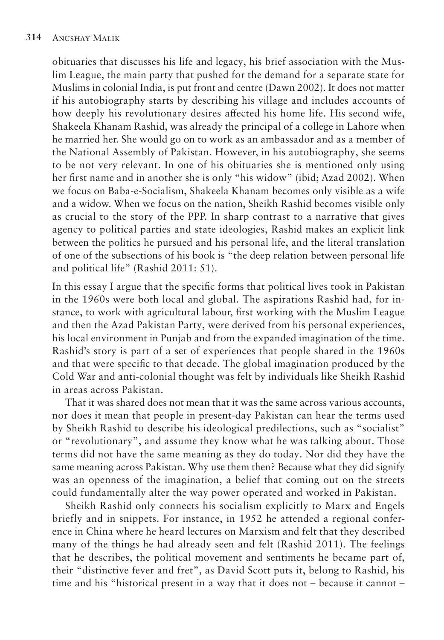obituaries that discusses his life and legacy, his brief association with the Muslim League, the main party that pushed for the demand for a separate state for Muslims in colonial India, is put front and centre (Dawn 2002). It does not matter if his autobiography starts by describing his village and includes accounts of how deeply his revolutionary desires affected his home life. His second wife, Shakeela Khanam Rashid, was already the principal of a college in Lahore when he married her. She would go on to work as an ambassador and as a member of the National Assembly of Pakistan. However, in his autobiography, she seems to be not very relevant. In one of his obituaries she is mentioned only using her first name and in another she is only "his widow" (ibid; Azad 2002). When we focus on Baba-e-Socialism, Shakeela Khanam becomes only visible as a wife and a widow. When we focus on the nation, Sheikh Rashid becomes visible only as crucial to the story of the PPP. In sharp contrast to a narrative that gives agency to political parties and state ideologies, Rashid makes an explicit link between the politics he pursued and his personal life, and the literal translation of one of the subsections of his book is "the deep relation between personal life and political life" (Rashid 2011: 51).

In this essay I argue that the specific forms that political lives took in Pakistan in the 1960s were both local and global. The aspirations Rashid had, for instance, to work with agricultural labour, first working with the Muslim League and then the Azad Pakistan Party, were derived from his personal experiences, his local environment in Punjab and from the expanded imagination of the time. Rashid's story is part of a set of experiences that people shared in the 1960s and that were specific to that decade. The global imagination produced by the Cold War and anti-colonial thought was felt by individuals like Sheikh Rashid in areas across Pakistan.

That it was shared does not mean that it was the same across various accounts, nor does it mean that people in present-day Pakistan can hear the terms used by Sheikh Rashid to describe his ideological predilections, such as "socialist" or "revolutionary", and assume they know what he was talking about. Those terms did not have the same meaning as they do today. Nor did they have the same meaning across Pakistan. Why use them then? Because what they did signify was an openness of the imagination, a belief that coming out on the streets could fundamentally alter the way power operated and worked in Pakistan.

Sheikh Rashid only connects his socialism explicitly to Marx and Engels briefly and in snippets. For instance, in 1952 he attended a regional conference in China where he heard lectures on Marxism and felt that they described many of the things he had already seen and felt (Rashid 2011). The feelings that he describes, the political movement and sentiments he became part of, their "distinctive fever and fret", as David Scott puts it, belong to Rashid, his time and his "historical present in a way that it does not – because it cannot –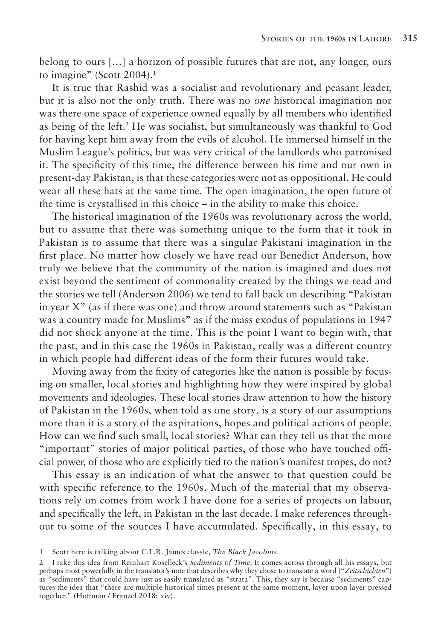belong to ours […] a horizon of possible futures that are not, any longer, ours to imagine" (Scott 2004).<sup>1</sup>

It is true that Rashid was a socialist and revolutionary and peasant leader, but it is also not the only truth. There was no *one* historical imagination nor was there one space of experience owned equally by all members who identified as being of the left.2 He was socialist, but simultaneously was thankful to God for having kept him away from the evils of alcohol. He immersed himself in the Muslim League's politics, but was very critical of the landlords who patronised it. The specificity of this time, the difference between his time and our own in present-day Pakistan, is that these categories were not as oppositional. He could wear all these hats at the same time. The open imagination, the open future of the time is crystallised in this choice – in the ability to make this choice.

The historical imagination of the 1960s was revolutionary across the world, but to assume that there was something unique to the form that it took in Pakistan is to assume that there was a singular Pakistani imagination in the first place. No matter how closely we have read our Benedict Anderson, how truly we believe that the community of the nation is imagined and does not exist beyond the sentiment of commonality created by the things we read and the stories we tell (Anderson 2006) we tend to fall back on describing "Pakistan in year X" (as if there was one) and throw around statements such as "Pakistan was a country made for Muslims" as if the mass exodus of populations in 1947 did not shock anyone at the time. This is the point I want to begin with, that the past, and in this case the 1960s in Pakistan, really was a different country in which people had different ideas of the form their futures would take.

Moving away from the fixity of categories like the nation is possible by focusing on smaller, local stories and highlighting how they were inspired by global movements and ideologies. These local stories draw attention to how the history of Pakistan in the 1960s, when told as one story, is a story of our assumptions more than it is a story of the aspirations, hopes and political actions of people. How can we find such small, local stories? What can they tell us that the more "important" stories of major political parties, of those who have touched official power, of those who are explicitly tied to the nation's manifest tropes, do not?

This essay is an indication of what the answer to that question could be with specific reference to the 1960s. Much of the material that my observations rely on comes from work I have done for a series of projects on labour, and specifically the left, in Pakistan in the last decade. I make references throughout to some of the sources I have accumulated. Specifically, in this essay, to

<sup>1</sup> Scott here is talking about C.L.R. James classic, *The Black Jacobins*.

<sup>2</sup> I take this idea from Reinhart Koselleck's *Sediments of Time*. It comes across through all his essays, but perhaps most powerfully in the translator's note that describes why they chose to translate a word ("*Zeitschichten*") as "sediments" that could have just as easily translated as "strata". This, they say is because "sediments" captures the idea that "there are multiple historical times present at the same moment, layer upon layer pressed together." (Hoffman / Franzel 2018: xiv).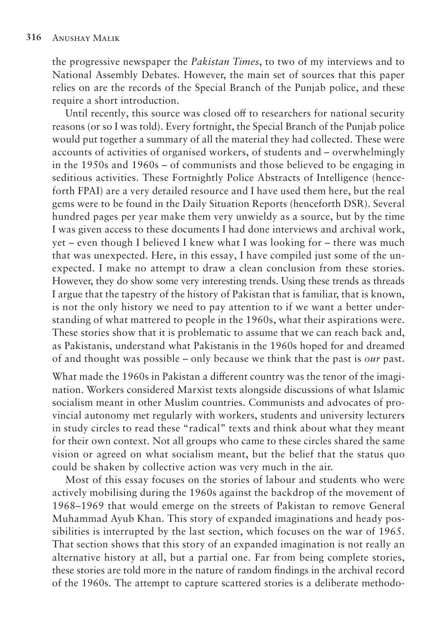the progressive newspaper the *Pakistan Times*, to two of my interviews and to National Assembly Debates. However, the main set of sources that this paper relies on are the records of the Special Branch of the Punjab police, and these require a short introduction.

Until recently, this source was closed off to researchers for national security reasons (or so I was told). Every fortnight, the Special Branch of the Punjab police would put together a summary of all the material they had collected. These were accounts of activities of organised workers, of students and – overwhelmingly in the 1950s and 1960s – of communists and those believed to be engaging in seditious activities. These Fortnightly Police Abstracts of Intelligence (henceforth FPAI) are a very detailed resource and I have used them here, but the real gems were to be found in the Daily Situation Reports (henceforth DSR). Several hundred pages per year make them very unwieldy as a source, but by the time I was given access to these documents I had done interviews and archival work, yet – even though I believed I knew what I was looking for – there was much that was unexpected. Here, in this essay, I have compiled just some of the unexpected. I make no attempt to draw a clean conclusion from these stories. However, they do show some very interesting trends. Using these trends as threads I argue that the tapestry of the history of Pakistan that is familiar, that is known, is not the only history we need to pay attention to if we want a better understanding of what mattered to people in the 1960s, what their aspirations were. These stories show that it is problematic to assume that we can reach back and, as Pakistanis, understand what Pakistanis in the 1960s hoped for and dreamed of and thought was possible – only because we think that the past is *our* past.

What made the 1960s in Pakistan a different country was the tenor of the imagination. Workers considered Marxist texts alongside discussions of what Islamic socialism meant in other Muslim countries. Communists and advocates of provincial autonomy met regularly with workers, students and university lecturers in study circles to read these "radical" texts and think about what they meant for their own context. Not all groups who came to these circles shared the same vision or agreed on what socialism meant, but the belief that the status quo could be shaken by collective action was very much in the air.

Most of this essay focuses on the stories of labour and students who were actively mobilising during the 1960s against the backdrop of the movement of 1968–1969 that would emerge on the streets of Pakistan to remove General Muhammad Ayub Khan. This story of expanded imaginations and heady possibilities is interrupted by the last section, which focuses on the war of 1965. That section shows that this story of an expanded imagination is not really an alternative history at all, but a partial one. Far from being complete stories, these stories are told more in the nature of random findings in the archival record of the 1960s. The attempt to capture scattered stories is a deliberate methodo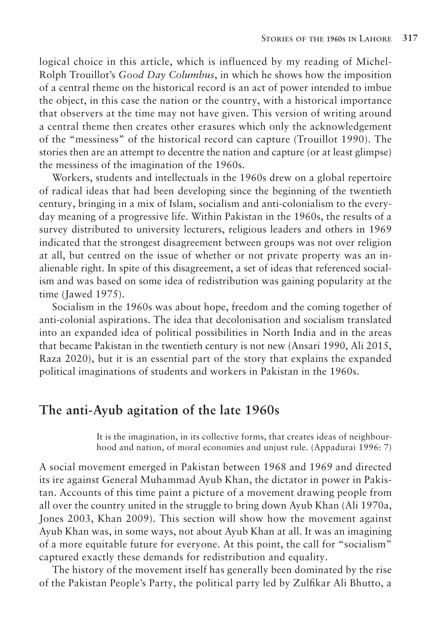logical choice in this article, which is influenced by my reading of Michel-Rolph Trouillot's *Good Day Columbus*, in which he shows how the imposition of a central theme on the historical record is an act of power intended to imbue the object, in this case the nation or the country, with a historical importance that observers at the time may not have given. This version of writing around a central theme then creates other erasures which only the acknowledgement of the "messiness" of the historical record can capture (Trouillot 1990). The stories then are an attempt to decentre the nation and capture (or at least glimpse) the messiness of the imagination of the 1960s.

Workers, students and intellectuals in the 1960s drew on a global repertoire of radical ideas that had been developing since the beginning of the twentieth century, bringing in a mix of Islam, socialism and anti-colonialism to the everyday meaning of a progressive life. Within Pakistan in the 1960s, the results of a survey distributed to university lecturers, religious leaders and others in 1969 indicated that the strongest disagreement between groups was not over religion at all, but centred on the issue of whether or not private property was an inalienable right. In spite of this disagreement, a set of ideas that referenced socialism and was based on some idea of redistribution was gaining popularity at the time (Jawed 1975).

Socialism in the 1960s was about hope, freedom and the coming together of anti-colonial aspirations. The idea that decolonisation and socialism translated into an expanded idea of political possibilities in North India and in the areas that became Pakistan in the twentieth century is not new (Ansari 1990, Ali 2015, Raza 2020), but it is an essential part of the story that explains the expanded political imaginations of students and workers in Pakistan in the 1960s.

#### **The anti-Ayub agitation of the late 1960s**

It is the imagination, in its collective forms, that creates ideas of neighbourhood and nation, of moral economies and unjust rule. (Appadurai 1996: 7)

A social movement emerged in Pakistan between 1968 and 1969 and directed its ire against General Muhammad Ayub Khan, the dictator in power in Pakistan. Accounts of this time paint a picture of a movement drawing people from all over the country united in the struggle to bring down Ayub Khan (Ali 1970a, Jones 2003, Khan 2009). This section will show how the movement against Ayub Khan was, in some ways, not about Ayub Khan at all. It was an imagining of a more equitable future for everyone. At this point, the call for "socialism" captured exactly these demands for redistribution and equality.

The history of the movement itself has generally been dominated by the rise of the Pakistan People's Party, the political party led by Zulfikar Ali Bhutto, a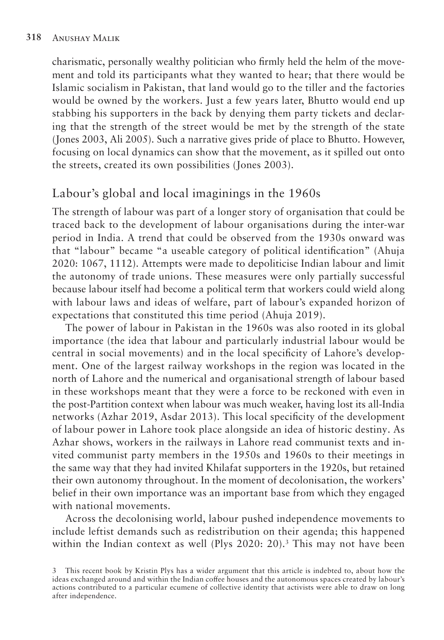charismatic, personally wealthy politician who firmly held the helm of the movement and told its participants what they wanted to hear; that there would be Islamic socialism in Pakistan, that land would go to the tiller and the factories would be owned by the workers. Just a few years later, Bhutto would end up stabbing his supporters in the back by denying them party tickets and declaring that the strength of the street would be met by the strength of the state (Jones 2003, Ali 2005). Such a narrative gives pride of place to Bhutto. However, focusing on local dynamics can show that the movement, as it spilled out onto the streets, created its own possibilities (Jones 2003).

### Labour's global and local imaginings in the 1960s

The strength of labour was part of a longer story of organisation that could be traced back to the development of labour organisations during the inter-war period in India. A trend that could be observed from the 1930s onward was that "labour" became "a useable category of political identification" (Ahuja 2020: 1067, 1112). Attempts were made to depoliticise Indian labour and limit the autonomy of trade unions. These measures were only partially successful because labour itself had become a political term that workers could wield along with labour laws and ideas of welfare, part of labour's expanded horizon of expectations that constituted this time period (Ahuja 2019).

The power of labour in Pakistan in the 1960s was also rooted in its global importance (the idea that labour and particularly industrial labour would be central in social movements) and in the local specificity of Lahore's development. One of the largest railway workshops in the region was located in the north of Lahore and the numerical and organisational strength of labour based in these workshops meant that they were a force to be reckoned with even in the post-Partition context when labour was much weaker, having lost its all-India networks (Azhar 2019, Asdar 2013). This local specificity of the development of labour power in Lahore took place alongside an idea of historic destiny. As Azhar shows, workers in the railways in Lahore read communist texts and invited communist party members in the 1950s and 1960s to their meetings in the same way that they had invited Khilafat supporters in the 1920s, but retained their own autonomy throughout. In the moment of decolonisation, the workers' belief in their own importance was an important base from which they engaged with national movements.

Across the decolonising world, labour pushed independence movements to include leftist demands such as redistribution on their agenda; this happened within the Indian context as well (Plys 2020: 20).<sup>3</sup> This may not have been

<sup>3</sup> This recent book by Kristin Plys has a wider argument that this article is indebted to, about how the ideas exchanged around and within the Indian coffee houses and the autonomous spaces created by labour's actions contributed to a particular ecumene of collective identity that activists were able to draw on long after independence.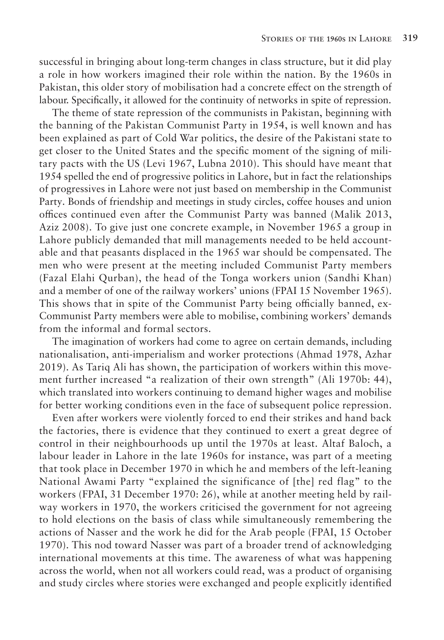successful in bringing about long-term changes in class structure, but it did play a role in how workers imagined their role within the nation. By the 1960s in Pakistan, this older story of mobilisation had a concrete effect on the strength of labour. Specifically, it allowed for the continuity of networks in spite of repression.

The theme of state repression of the communists in Pakistan, beginning with the banning of the Pakistan Communist Party in 1954, is well known and has been explained as part of Cold War politics, the desire of the Pakistani state to get closer to the United States and the specific moment of the signing of military pacts with the US (Levi 1967, Lubna 2010). This should have meant that 1954 spelled the end of progressive politics in Lahore, but in fact the relationships of progressives in Lahore were not just based on membership in the Communist Party. Bonds of friendship and meetings in study circles, coffee houses and union offices continued even after the Communist Party was banned (Malik 2013, Aziz 2008). To give just one concrete example, in November 1965 a group in Lahore publicly demanded that mill managements needed to be held accountable and that peasants displaced in the 1965 war should be compensated. The men who were present at the meeting included Communist Party members (Fazal Elahi Qurban), the head of the Tonga workers union (Sandhi Khan) and a member of one of the railway workers' unions (FPAI 15 November 1965). This shows that in spite of the Communist Party being officially banned, ex-Communist Party members were able to mobilise, combining workers' demands from the informal and formal sectors.

The imagination of workers had come to agree on certain demands, including nationalisation, anti-imperialism and worker protections (Ahmad 1978, Azhar 2019). As Tariq Ali has shown, the participation of workers within this movement further increased "a realization of their own strength" (Ali 1970b: 44), which translated into workers continuing to demand higher wages and mobilise for better working conditions even in the face of subsequent police repression.

Even after workers were violently forced to end their strikes and hand back the factories, there is evidence that they continued to exert a great degree of control in their neighbourhoods up until the 1970s at least. Altaf Baloch, a labour leader in Lahore in the late 1960s for instance, was part of a meeting that took place in December 1970 in which he and members of the left-leaning National Awami Party "explained the significance of [the] red flag" to the workers (FPAI, 31 December 1970: 26), while at another meeting held by railway workers in 1970, the workers criticised the government for not agreeing to hold elections on the basis of class while simultaneously remembering the actions of Nasser and the work he did for the Arab people (FPAI, 15 October 1970). This nod toward Nasser was part of a broader trend of acknowledging international movements at this time. The awareness of what was happening across the world, when not all workers could read, was a product of organising and study circles where stories were exchanged and people explicitly identified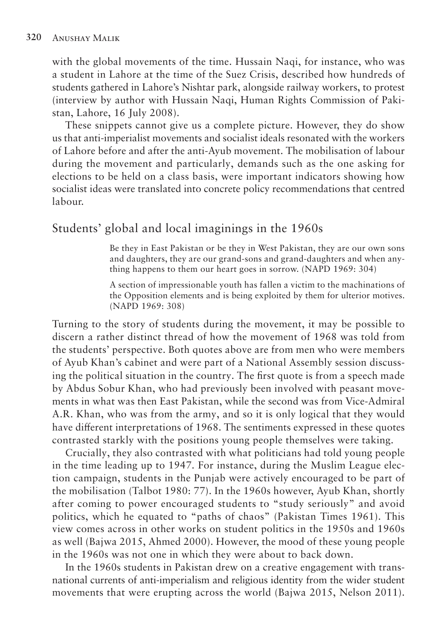with the global movements of the time. Hussain Naqi, for instance, who was a student in Lahore at the time of the Suez Crisis, described how hundreds of students gathered in Lahore's Nishtar park, alongside railway workers, to protest (interview by author with Hussain Naqi, Human Rights Commission of Pakistan, Lahore, 16 July 2008).

These snippets cannot give us a complete picture. However, they do show us that anti-imperialist movements and socialist ideals resonated with the workers of Lahore before and after the anti-Ayub movement. The mobilisation of labour during the movement and particularly, demands such as the one asking for elections to be held on a class basis, were important indicators showing how socialist ideas were translated into concrete policy recommendations that centred labour.

#### Students' global and local imaginings in the 1960s

Be they in East Pakistan or be they in West Pakistan, they are our own sons and daughters, they are our grand-sons and grand-daughters and when anything happens to them our heart goes in sorrow. (NAPD 1969: 304)

A section of impressionable youth has fallen a victim to the machinations of the Opposition elements and is being exploited by them for ulterior motives. (NAPD 1969: 308)

Turning to the story of students during the movement, it may be possible to discern a rather distinct thread of how the movement of 1968 was told from the students' perspective. Both quotes above are from men who were members of Ayub Khan's cabinet and were part of a National Assembly session discussing the political situation in the country. The first quote is from a speech made by Abdus Sobur Khan, who had previously been involved with peasant movements in what was then East Pakistan, while the second was from Vice-Admiral A.R. Khan, who was from the army, and so it is only logical that they would have different interpretations of 1968. The sentiments expressed in these quotes contrasted starkly with the positions young people themselves were taking.

Crucially, they also contrasted with what politicians had told young people in the time leading up to 1947. For instance, during the Muslim League election campaign, students in the Punjab were actively encouraged to be part of the mobilisation (Talbot 1980: 77). In the 1960s however, Ayub Khan, shortly after coming to power encouraged students to "study seriously" and avoid politics, which he equated to "paths of chaos" (Pakistan Times 1961). This view comes across in other works on student politics in the 1950s and 1960s as well (Bajwa 2015, Ahmed 2000). However, the mood of these young people in the 1960s was not one in which they were about to back down.

In the 1960s students in Pakistan drew on a creative engagement with transnational currents of anti-imperialism and religious identity from the wider student movements that were erupting across the world (Bajwa 2015, Nelson 2011).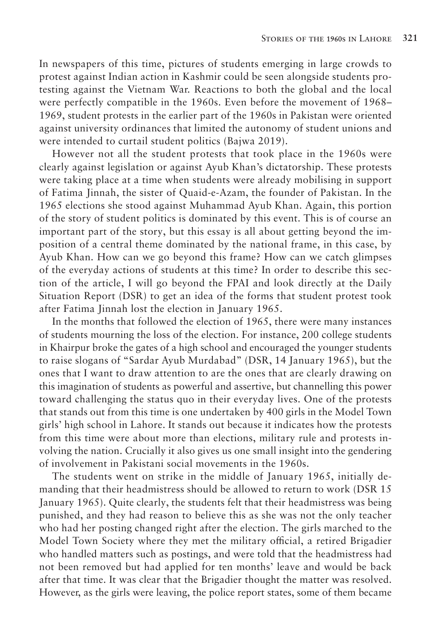In newspapers of this time, pictures of students emerging in large crowds to protest against Indian action in Kashmir could be seen alongside students protesting against the Vietnam War. Reactions to both the global and the local were perfectly compatible in the 1960s. Even before the movement of 1968– 1969, student protests in the earlier part of the 1960s in Pakistan were oriented against university ordinances that limited the autonomy of student unions and were intended to curtail student politics (Bajwa 2019).

However not all the student protests that took place in the 1960s were clearly against legislation or against Ayub Khan's dictatorship. These protests were taking place at a time when students were already mobilising in support of Fatima Jinnah, the sister of Quaid-e-Azam, the founder of Pakistan. In the 1965 elections she stood against Muhammad Ayub Khan. Again, this portion of the story of student politics is dominated by this event. This is of course an important part of the story, but this essay is all about getting beyond the imposition of a central theme dominated by the national frame, in this case, by Ayub Khan. How can we go beyond this frame? How can we catch glimpses of the everyday actions of students at this time? In order to describe this section of the article, I will go beyond the FPAI and look directly at the Daily Situation Report (DSR) to get an idea of the forms that student protest took after Fatima Jinnah lost the election in January 1965.

In the months that followed the election of 1965, there were many instances of students mourning the loss of the election. For instance, 200 college students in Khairpur broke the gates of a high school and encouraged the younger students to raise slogans of "Sardar Ayub Murdabad" (DSR, 14 January 1965), but the ones that I want to draw attention to are the ones that are clearly drawing on this imagination of students as powerful and assertive, but channelling this power toward challenging the status quo in their everyday lives. One of the protests that stands out from this time is one undertaken by 400 girls in the Model Town girls' high school in Lahore. It stands out because it indicates how the protests from this time were about more than elections, military rule and protests involving the nation. Crucially it also gives us one small insight into the gendering of involvement in Pakistani social movements in the 1960s.

The students went on strike in the middle of January 1965, initially demanding that their headmistress should be allowed to return to work (DSR 15 January 1965). Quite clearly, the students felt that their headmistress was being punished, and they had reason to believe this as she was not the only teacher who had her posting changed right after the election. The girls marched to the Model Town Society where they met the military official, a retired Brigadier who handled matters such as postings, and were told that the headmistress had not been removed but had applied for ten months' leave and would be back after that time. It was clear that the Brigadier thought the matter was resolved. However, as the girls were leaving, the police report states, some of them became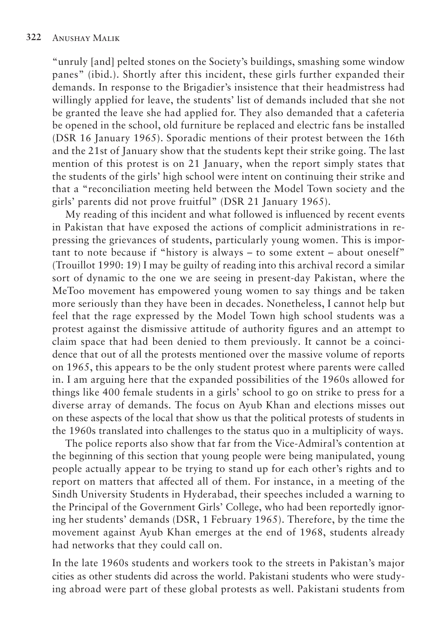"unruly [and] pelted stones on the Society's buildings, smashing some window panes" (ibid.). Shortly after this incident, these girls further expanded their demands. In response to the Brigadier's insistence that their headmistress had willingly applied for leave, the students' list of demands included that she not be granted the leave she had applied for. They also demanded that a cafeteria be opened in the school, old furniture be replaced and electric fans be installed (DSR 16 January 1965). Sporadic mentions of their protest between the 16th and the 21st of January show that the students kept their strike going. The last mention of this protest is on 21 January, when the report simply states that the students of the girls' high school were intent on continuing their strike and that a "reconciliation meeting held between the Model Town society and the girls' parents did not prove fruitful" (DSR 21 January 1965).

My reading of this incident and what followed is influenced by recent events in Pakistan that have exposed the actions of complicit administrations in repressing the grievances of students, particularly young women. This is important to note because if "history is always – to some extent – about oneself" (Trouillot 1990: 19) I may be guilty of reading into this archival record a similar sort of dynamic to the one we are seeing in present-day Pakistan, where the MeToo movement has empowered young women to say things and be taken more seriously than they have been in decades. Nonetheless, I cannot help but feel that the rage expressed by the Model Town high school students was a protest against the dismissive attitude of authority figures and an attempt to claim space that had been denied to them previously. It cannot be a coincidence that out of all the protests mentioned over the massive volume of reports on 1965, this appears to be the only student protest where parents were called in. I am arguing here that the expanded possibilities of the 1960s allowed for things like 400 female students in a girls' school to go on strike to press for a diverse array of demands. The focus on Ayub Khan and elections misses out on these aspects of the local that show us that the political protests of students in the 1960s translated into challenges to the status quo in a multiplicity of ways.

The police reports also show that far from the Vice-Admiral's contention at the beginning of this section that young people were being manipulated, young people actually appear to be trying to stand up for each other's rights and to report on matters that affected all of them. For instance, in a meeting of the Sindh University Students in Hyderabad, their speeches included a warning to the Principal of the Government Girls' College, who had been reportedly ignoring her students' demands (DSR, 1 February 1965). Therefore, by the time the movement against Ayub Khan emerges at the end of 1968, students already had networks that they could call on.

In the late 1960s students and workers took to the streets in Pakistan's major cities as other students did across the world. Pakistani students who were studying abroad were part of these global protests as well. Pakistani students from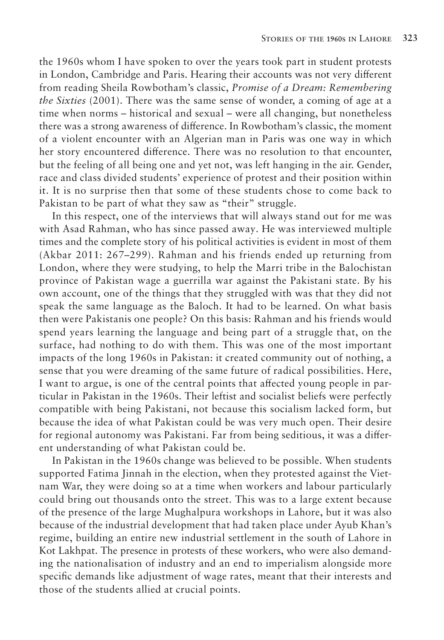the 1960s whom I have spoken to over the years took part in student protests in London, Cambridge and Paris. Hearing their accounts was not very different from reading Sheila Rowbotham's classic, *Promise of a Dream: Remembering the Sixties* (2001). There was the same sense of wonder, a coming of age at a time when norms – historical and sexual – were all changing, but nonetheless there was a strong awareness of difference. In Rowbotham's classic, the moment of a violent encounter with an Algerian man in Paris was one way in which her story encountered difference. There was no resolution to that encounter, but the feeling of all being one and yet not, was left hanging in the air. Gender, race and class divided students' experience of protest and their position within it. It is no surprise then that some of these students chose to come back to Pakistan to be part of what they saw as "their" struggle.

In this respect, one of the interviews that will always stand out for me was with Asad Rahman, who has since passed away. He was interviewed multiple times and the complete story of his political activities is evident in most of them (Akbar 2011: 267–299). Rahman and his friends ended up returning from London, where they were studying, to help the Marri tribe in the Balochistan province of Pakistan wage a guerrilla war against the Pakistani state. By his own account, one of the things that they struggled with was that they did not speak the same language as the Baloch. It had to be learned. On what basis then were Pakistanis one people? On this basis: Rahman and his friends would spend years learning the language and being part of a struggle that, on the surface, had nothing to do with them. This was one of the most important impacts of the long 1960s in Pakistan: it created community out of nothing, a sense that you were dreaming of the same future of radical possibilities. Here, I want to argue, is one of the central points that affected young people in particular in Pakistan in the 1960s. Their leftist and socialist beliefs were perfectly compatible with being Pakistani, not because this socialism lacked form, but because the idea of what Pakistan could be was very much open. Their desire for regional autonomy was Pakistani. Far from being seditious, it was a different understanding of what Pakistan could be.

In Pakistan in the 1960s change was believed to be possible. When students supported Fatima Jinnah in the election, when they protested against the Vietnam War, they were doing so at a time when workers and labour particularly could bring out thousands onto the street. This was to a large extent because of the presence of the large Mughalpura workshops in Lahore, but it was also because of the industrial development that had taken place under Ayub Khan's regime, building an entire new industrial settlement in the south of Lahore in Kot Lakhpat. The presence in protests of these workers, who were also demanding the nationalisation of industry and an end to imperialism alongside more specific demands like adjustment of wage rates, meant that their interests and those of the students allied at crucial points.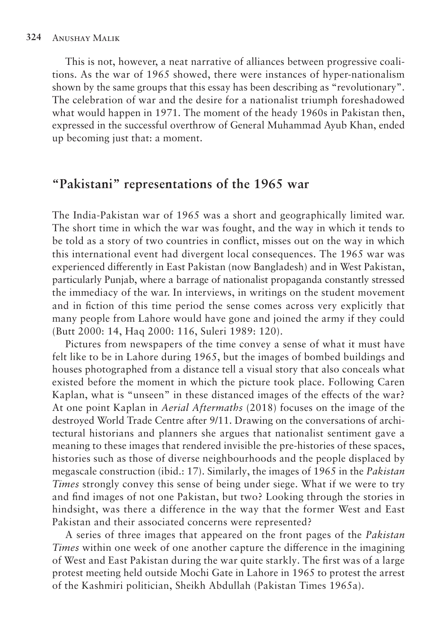This is not, however, a neat narrative of alliances between progressive coalitions. As the war of 1965 showed, there were instances of hyper-nationalism shown by the same groups that this essay has been describing as "revolutionary". The celebration of war and the desire for a nationalist triumph foreshadowed what would happen in 1971. The moment of the heady 1960s in Pakistan then, expressed in the successful overthrow of General Muhammad Ayub Khan, ended up becoming just that: a moment.

#### **"Pakistani" representations of the 1965 war**

The India-Pakistan war of 1965 was a short and geographically limited war. The short time in which the war was fought, and the way in which it tends to be told as a story of two countries in conflict, misses out on the way in which this international event had divergent local consequences. The 1965 war was experienced differently in East Pakistan (now Bangladesh) and in West Pakistan, particularly Punjab, where a barrage of nationalist propaganda constantly stressed the immediacy of the war. In interviews, in writings on the student movement and in fiction of this time period the sense comes across very explicitly that many people from Lahore would have gone and joined the army if they could (Butt 2000: 14, Haq 2000: 116, Suleri 1989: 120).

Pictures from newspapers of the time convey a sense of what it must have felt like to be in Lahore during 1965, but the images of bombed buildings and houses photographed from a distance tell a visual story that also conceals what existed before the moment in which the picture took place. Following Caren Kaplan, what is "unseen" in these distanced images of the effects of the war? At one point Kaplan in *Aerial Aftermaths* (2018) focuses on the image of the destroyed World Trade Centre after 9/11. Drawing on the conversations of architectural historians and planners she argues that nationalist sentiment gave a meaning to these images that rendered invisible the pre-histories of these spaces, histories such as those of diverse neighbourhoods and the people displaced by megascale construction (ibid.: 17). Similarly, the images of 1965 in the *Pakistan Times* strongly convey this sense of being under siege. What if we were to try and find images of not one Pakistan, but two? Looking through the stories in hindsight, was there a difference in the way that the former West and East Pakistan and their associated concerns were represented?

A series of three images that appeared on the front pages of the *Pakistan Times* within one week of one another capture the difference in the imagining of West and East Pakistan during the war quite starkly. The first was of a large protest meeting held outside Mochi Gate in Lahore in 1965 to protest the arrest of the Kashmiri politician, Sheikh Abdullah (Pakistan Times 1965a).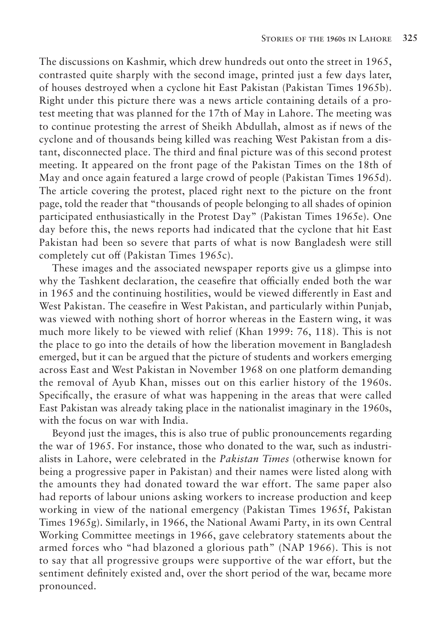The discussions on Kashmir, which drew hundreds out onto the street in 1965, contrasted quite sharply with the second image, printed just a few days later, of houses destroyed when a cyclone hit East Pakistan (Pakistan Times 1965b). Right under this picture there was a news article containing details of a protest meeting that was planned for the 17th of May in Lahore. The meeting was to continue protesting the arrest of Sheikh Abdullah, almost as if news of the cyclone and of thousands being killed was reaching West Pakistan from a distant, disconnected place. The third and final picture was of this second protest meeting. It appeared on the front page of the Pakistan Times on the 18th of May and once again featured a large crowd of people (Pakistan Times 1965d). The article covering the protest, placed right next to the picture on the front page, told the reader that "thousands of people belonging to all shades of opinion participated enthusiastically in the Protest Day" (Pakistan Times 1965e). One day before this, the news reports had indicated that the cyclone that hit East Pakistan had been so severe that parts of what is now Bangladesh were still completely cut off (Pakistan Times 1965c).

These images and the associated newspaper reports give us a glimpse into why the Tashkent declaration, the ceasefire that officially ended both the war in 1965 and the continuing hostilities, would be viewed differently in East and West Pakistan. The ceasefire in West Pakistan, and particularly within Punjab, was viewed with nothing short of horror whereas in the Eastern wing, it was much more likely to be viewed with relief (Khan 1999: 76, 118). This is not the place to go into the details of how the liberation movement in Bangladesh emerged, but it can be argued that the picture of students and workers emerging across East and West Pakistan in November 1968 on one platform demanding the removal of Ayub Khan, misses out on this earlier history of the 1960s. Specifically, the erasure of what was happening in the areas that were called East Pakistan was already taking place in the nationalist imaginary in the 1960s, with the focus on war with India.

Beyond just the images, this is also true of public pronouncements regarding the war of 1965. For instance, those who donated to the war, such as industrialists in Lahore, were celebrated in the *Pakistan Times* (otherwise known for being a progressive paper in Pakistan) and their names were listed along with the amounts they had donated toward the war effort. The same paper also had reports of labour unions asking workers to increase production and keep working in view of the national emergency (Pakistan Times 1965f, Pakistan Times 1965g). Similarly, in 1966, the National Awami Party, in its own Central Working Committee meetings in 1966, gave celebratory statements about the armed forces who "had blazoned a glorious path" (NAP 1966). This is not to say that all progressive groups were supportive of the war effort, but the sentiment definitely existed and, over the short period of the war, became more pronounced.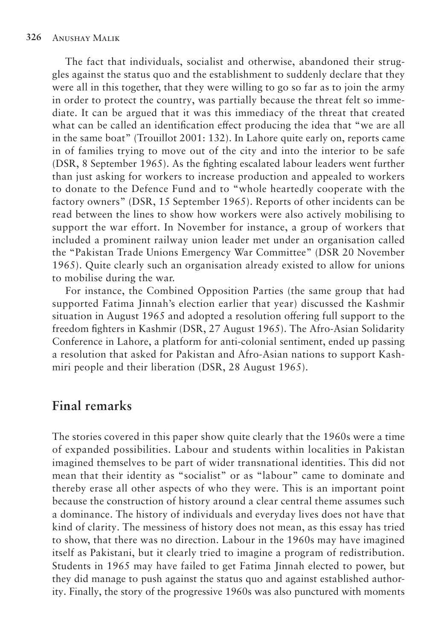The fact that individuals, socialist and otherwise, abandoned their struggles against the status quo and the establishment to suddenly declare that they were all in this together, that they were willing to go so far as to join the army in order to protect the country, was partially because the threat felt so immediate. It can be argued that it was this immediacy of the threat that created what can be called an identification effect producing the idea that "we are all in the same boat" (Trouillot 2001: 132). In Lahore quite early on, reports came in of families trying to move out of the city and into the interior to be safe (DSR, 8 September 1965). As the fighting escalated labour leaders went further than just asking for workers to increase production and appealed to workers to donate to the Defence Fund and to "whole heartedly cooperate with the factory owners" (DSR, 15 September 1965). Reports of other incidents can be read between the lines to show how workers were also actively mobilising to support the war effort. In November for instance, a group of workers that included a prominent railway union leader met under an organisation called the "Pakistan Trade Unions Emergency War Committee" (DSR 20 November 1965). Quite clearly such an organisation already existed to allow for unions to mobilise during the war.

For instance, the Combined Opposition Parties (the same group that had supported Fatima Jinnah's election earlier that year) discussed the Kashmir situation in August 1965 and adopted a resolution offering full support to the freedom fighters in Kashmir (DSR, 27 August 1965). The Afro-Asian Solidarity Conference in Lahore, a platform for anti-colonial sentiment, ended up passing a resolution that asked for Pakistan and Afro-Asian nations to support Kashmiri people and their liberation (DSR, 28 August 1965).

#### **Final remarks**

The stories covered in this paper show quite clearly that the 1960s were a time of expanded possibilities. Labour and students within localities in Pakistan imagined themselves to be part of wider transnational identities. This did not mean that their identity as "socialist" or as "labour" came to dominate and thereby erase all other aspects of who they were. This is an important point because the construction of history around a clear central theme assumes such a dominance. The history of individuals and everyday lives does not have that kind of clarity. The messiness of history does not mean, as this essay has tried to show, that there was no direction. Labour in the 1960s may have imagined itself as Pakistani, but it clearly tried to imagine a program of redistribution. Students in 1965 may have failed to get Fatima Jinnah elected to power, but they did manage to push against the status quo and against established authority. Finally, the story of the progressive 1960s was also punctured with moments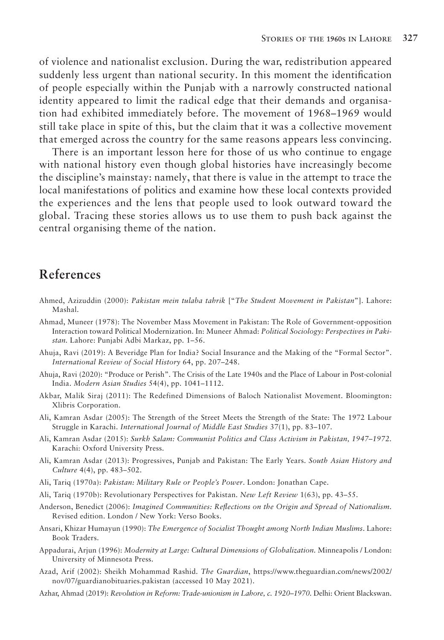of violence and nationalist exclusion. During the war, redistribution appeared suddenly less urgent than national security. In this moment the identification of people especially within the Punjab with a narrowly constructed national identity appeared to limit the radical edge that their demands and organisation had exhibited immediately before. The movement of 1968–1969 would still take place in spite of this, but the claim that it was a collective movement that emerged across the country for the same reasons appears less convincing.

There is an important lesson here for those of us who continue to engage with national history even though global histories have increasingly become the discipline's mainstay: namely, that there is value in the attempt to trace the local manifestations of politics and examine how these local contexts provided the experiences and the lens that people used to look outward toward the global. Tracing these stories allows us to use them to push back against the central organising theme of the nation.

#### **References**

- Ahmed, Azizuddin (2000): *Pakistan mein tulaba tahrik* ["*The Student Movement in Pakistan*"]. Lahore: Mashal.
- Ahmad, Muneer (1978): The November Mass Movement in Pakistan: The Role of Government-opposition Interaction toward Political Modernization. In: Muneer Ahmad: *Political Sociology: Perspectives in Pakistan.* Lahore: Punjabi Adbi Markaz, pp. 1–56.
- Ahuja, Ravi (2019): A Beveridge Plan for India? Social Insurance and the Making of the "Formal Sector". *International Review of Social History* 64, pp. 207–248.
- Ahuja, Ravi (2020): "Produce or Perish". The Crisis of the Late 1940s and the Place of Labour in Post-colonial India. *Modern Asian Studies* 54(4), pp. 1041–1112.
- Akbar, Malik Siraj (2011): The Redefined Dimensions of Baloch Nationalist Movement. Bloomington: Xlibris Corporation.
- Ali, Kamran Asdar (2005): The Strength of the Street Meets the Strength of the State: The 1972 Labour Struggle in Karachi. *International Journal of Middle East Studies* 37(1), pp. 83–107.
- Ali, Kamran Asdar (2015): *Surkh Salam: Communist Politics and Class Activism in Pakistan, 1947–1972.*  Karachi: Oxford University Press.
- Ali, Kamran Asdar (2013): Progressives, Punjab and Pakistan: The Early Years. *South Asian History and Culture* 4(4), pp. 483–502.
- Ali, Tariq (1970a): *Pakistan: Military Rule or People's Power*. London: Jonathan Cape.
- Ali, Tariq (1970b): Revolutionary Perspectives for Pakistan. *New Left Review* 1(63), pp. 43–55.
- Anderson, Benedict (2006): *Imagined Communities: Reflections on the Origin and Spread of Nationalism.*  Revised edition. London / New York: Verso Books.
- Ansari, Khizar Humayun (1990): *The Emergence of Socialist Thought among North Indian Muslims*. Lahore: Book Traders.
- Appadurai, Arjun (1996): *Modernity at Large: Cultural Dimensions of Globalization.* Minneapolis / London: University of Minnesota Press.
- Azad, Arif (2002): Sheikh Mohammad Rashid. *The Guardian*, https://www.theguardian.com/news/2002/ nov/07/guardianobituaries.pakistan (accessed 10 May 2021).
- Azhar, Ahmad (2019): *Revolution in Reform: Trade-unionism in Lahore, c. 1920–1970.* Delhi: Orient Blackswan.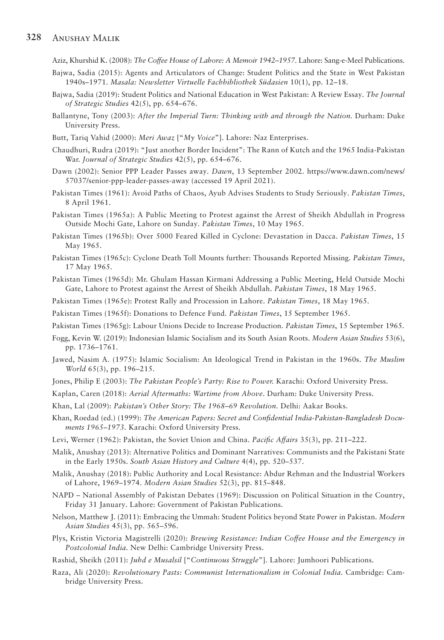#### **328** Anushay Malik

Aziz, Khurshid K. (2008): *The Coffee House of Lahore: A Memoir 1942–1957.* Lahore: Sang-e-Meel Publications.

- Bajwa, Sadia (2015): Agents and Articulators of Change: Student Politics and the State in West Pakistan 1940s–1971. *Masala: Newsletter Virtuelle Fachbibliothek Südasien* 10(1), pp. 12–18.
- Bajwa, Sadia (2019): Student Politics and National Education in West Pakistan: A Review Essay. *The Journal of Strategic Studies* 42(5), pp. 654–676.
- Ballantyne, Tony (2003): *After the Imperial Turn: Thinking with and through the Nation. Durham: Duke* University Press.
- Butt, Tariq Vahid (2000): *Meri Awaz* ["*My Voice*"]. Lahore: Naz Enterprises.
- Chaudhuri, Rudra (2019): "Just another Border Incident": The Rann of Kutch and the 1965 India-Pakistan War. *Journal of Strategic Studies* 42(5), pp. 654–676.
- Dawn (2002): Senior PPP Leader Passes away. *Dawn*, 13 September 2002. https://www.dawn.com/news/ 57037/senior-ppp-leader-passes-away (accessed 19 April 2021).
- Pakistan Times (1961): Avoid Paths of Chaos, Ayub Advises Students to Study Seriously. *Pakistan Times*, 8 April 1961.
- Pakistan Times (1965a): A Public Meeting to Protest against the Arrest of Sheikh Abdullah in Progress Outside Mochi Gate, Lahore on Sunday. *Pakistan Times*, 10 May 1965.
- Pakistan Times (1965b): Over 5000 Feared Killed in Cyclone: Devastation in Dacca. *Pakistan Times*, 15 May 1965.
- Pakistan Times (1965c): Cyclone Death Toll Mounts further: Thousands Reported Missing. *Pakistan Times*, 17 May 1965.
- Pakistan Times (1965d): Mr. Ghulam Hassan Kirmani Addressing a Public Meeting, Held Outside Mochi Gate, Lahore to Protest against the Arrest of Sheikh Abdullah. *Pakistan Times*, 18 May 1965.

Pakistan Times (1965e): Protest Rally and Procession in Lahore. *Pakistan Times*, 18 May 1965.

- Pakistan Times (1965f): Donations to Defence Fund. *Pakistan Times*, 15 September 1965.
- Pakistan Times (1965g): Labour Unions Decide to Increase Production. *Pakistan Times*, 15 September 1965.
- Fogg, Kevin W. (2019): Indonesian Islamic Socialism and its South Asian Roots. *Modern Asian Studies* 53(6), pp. 1736–1761.
- Jawed, Nasim A. (1975): Islamic Socialism: An Ideological Trend in Pakistan in the 1960s. *The Muslim World* 65(3), pp. 196–215.
- Jones, Philip E (2003): *The Pakistan People's Party: Rise to Power.* Karachi: Oxford University Press.
- Kaplan, Caren (2018): *Aerial Aftermaths: Wartime from Above*. Durham: Duke University Press.
- Khan, Lal (2009): *Pakistan's Other Story: The 1968*–*69 Revolution.* Delhi: Aakar Books.
- Khan, Roedad (ed.) (1999): *The American Papers: Secret and Confidential India-Pakistan-Bangladesh Documents 1965–1973.* Karachi: Oxford University Press.
- Levi, Werner (1962): Pakistan, the Soviet Union and China. *Pacific Affairs* 35(3), pp. 211–222.
- Malik, Anushay (2013): Alternative Politics and Dominant Narratives: Communists and the Pakistani State in the Early 1950s. *South Asian History and Culture* 4(4), pp. 520–537.
- Malik, Anushay (2018): Public Authority and Local Resistance: Abdur Rehman and the Industrial Workers of Lahore, 1969–1974. *Modern Asian Studies* 52(3), pp. 815–848.
- NAPD National Assembly of Pakistan Debates (1969): Discussion on Political Situation in the Country, Friday 31 January. Lahore: Government of Pakistan Publications.
- Nelson, Matthew J. (2011): Embracing the Ummah: Student Politics beyond State Power in Pakistan. *Modern Asian Studies* 45(3), pp. 565–596.
- Plys, Kristin Victoria Magistrelli (2020): *Brewing Resistance: Indian Coffee House and the Emergency in Postcolonial India.* New Delhi: Cambridge University Press.
- Rashid, Sheikh (2011): *Juhd e Musalsil* ["*Continuous Struggle*"]. Lahore: Jumhoori Publications.
- Raza, Ali (2020): *Revolutionary Pasts: Communist Internationalism in Colonial India.* Cambridge: Cambridge University Press.